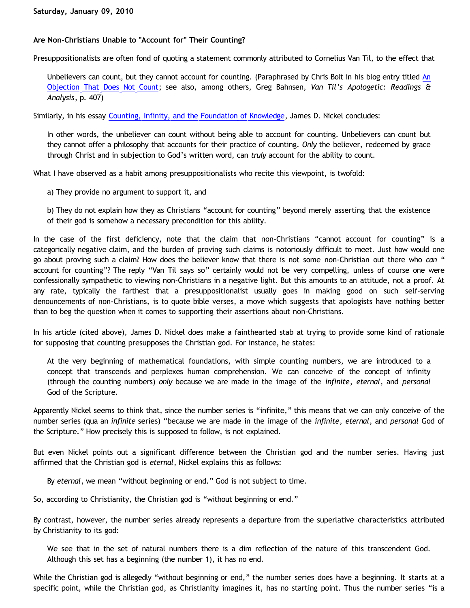## **Are Non-Christians Unable to "Account for" Their Counting?**

Presuppositionalists are often fond of quoting a statement commonly attributed to Cornelius Van Til, to the effect that

Unbelievers can count, but they cannot account for counting. (Paraphrased by Chris Bolt in his blog entry titled [An](http://www.choosinghats.com/?p=830) [Objection That Does Not Count](http://www.choosinghats.com/?p=830); see also, among others, Greg Bahnsen, *Van Til's Apologetic: Readings & Analysis*, p. 407)

Similarly, in his essay [Counting, Infinity, and the Foundation of Knowledge](http://www.biblicalchristianworldview.net/Mathematical-CirclesII/countingInfinityKnowledge.pdf), James D. Nickel concludes:

In other words, the unbeliever can count without being able to account for counting. Unbelievers can count but they cannot offer a philosophy that accounts for their practice of counting. *Only* the believer, redeemed by grace through Christ and in subjection to God's written word, can *truly* account for the ability to count.

What I have observed as a habit among presuppositionalists who recite this viewpoint, is twofold:

a) They provide no argument to support it, and

b) They do not explain how they as Christians "account for counting" beyond merely asserting that the existence of their god is somehow a necessary precondition for this ability.

In the case of the first deficiency, note that the claim that non-Christians "cannot account for counting" is a categorically negative claim, and the burden of proving such claims is notoriously difficult to meet. Just how would one go about proving such a claim? How does the believer know that there is not some non-Christian out there who *can* " account for counting"? The reply "Van Til says so" certainly would not be very compelling, unless of course one were confessionally sympathetic to viewing non-Christians in a negative light. But this amounts to an attitude, not a proof. At any rate, typically the farthest that a presuppositionalist usually goes in making good on such self-serving denouncements of non-Christians, is to quote bible verses, a move which suggests that apologists have nothing better than to beg the question when it comes to supporting their assertions about non-Christians.

In his article (cited above), James D. Nickel does make a fainthearted stab at trying to provide some kind of rationale for supposing that counting presupposes the Christian god. For instance, he states:

At the very beginning of mathematical foundations, with simple counting numbers, we are introduced to a concept that transcends and perplexes human comprehension. We can conceive of the concept of infinity (through the counting numbers) *only* because we are made in the image of the *infinite*, *eternal*, and *personal* God of the Scripture.

Apparently Nickel seems to think that, since the number series is "infinite," this means that we can only conceive of the number series (qua an *infinite* series) "because we are made in the image of the *infinite*, *eternal*, and *personal* God of the Scripture." How precisely this is supposed to follow, is not explained.

But even Nickel points out a significant difference between the Christian god and the number series. Having just affirmed that the Christian god is *eternal*, Nickel explains this as follows:

By *eternal*, we mean "without beginning or end." God is not subject to time.

So, according to Christianity, the Christian god is "without beginning or end."

By contrast, however, the number series already represents a departure from the superlative characteristics attributed by Christianity to its god:

We see that in the set of natural numbers there is a dim reflection of the nature of this transcendent God. Although this set has a beginning (the number 1), it has no end.

While the Christian god is allegedly "without beginning or end," the number series does have a beginning. It starts at a specific point, while the Christian god, as Christianity imagines it, has no starting point. Thus the number series "is a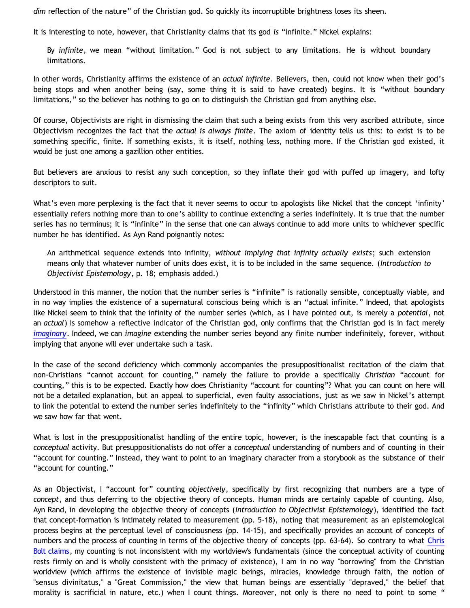*dim* reflection of the nature" of the Christian god. So quickly its incorruptible brightness loses its sheen.

It is interesting to note, however, that Christianity claims that its god *is* "infinite." Nickel explains:

By *infinite*, we mean "without limitation." God is not subject to any limitations. He is without boundary limitations.

In other words, Christianity affirms the existence of an *actual infinite*. Believers, then, could not know when their god's being stops and when another being (say, some thing it is said to have created) begins. It is "without boundary limitations," so the believer has nothing to go on to distinguish the Christian god from anything else.

Of course, Objectivists are right in dismissing the claim that such a being exists from this very ascribed attribute, since Objectivism recognizes the fact that the *actual is always finite*. The axiom of identity tells us this: to exist is to be something specific, finite. If something exists, it is itself, nothing less, nothing more. If the Christian god existed, it would be just one among a gazillion other entities.

But believers are anxious to resist any such conception, so they inflate their god with puffed up imagery, and lofty descriptors to suit.

What's even more perplexing is the fact that it never seems to occur to apologists like Nickel that the concept 'infinity' essentially refers nothing more than to one's ability to continue extending a series indefinitely. It is true that the number series has no terminus; it is "infinite" in the sense that one can always continue to add more units to whichever specific number he has identified. As Ayn Rand poignantly notes:

An arithmetical sequence extends into infinity, *without implying that infinity actually exists*; such extension means only that whatever number of units does exist, it is to be included in the same sequence. (*Introduction to Objectivist Epistemology*, p. 18; emphasis added.)

Understood in this manner, the notion that the number series is "infinite" is rationally sensible, conceptually viable, and in no way implies the existence of a supernatural conscious being which is an "actual infinite." Indeed, that apologists like Nickel seem to think that the infinity of the number series (which, as I have pointed out, is merely a *potential*, not an *actual*) is somehow a reflective indicator of the Christian god, only confirms that the Christian god is in fact merely *[imaginary](http://katholon.com/Imagination.htm)*. Indeed, we can *imagine* extending the number series beyond any finite number indefinitely, forever, without implying that anyone will ever undertake such a task.

In the case of the second deficiency which commonly accompanies the presuppositionalist recitation of the claim that non-Christians "cannot account for counting," namely the failure to provide a specifically *Christian* "account for counting," this is to be expected. Exactly how does Christianity "account for counting"? What you can count on here will not be a detailed explanation, but an appeal to superficial, even faulty associations, just as we saw in Nickel's attempt to link the potential to extend the number series indefinitely to the "infinity" which Christians attribute to their god. And we saw how far that went.

What is lost in the presuppositionalist handling of the entire topic, however, is the inescapable fact that counting is a *conceptual* activity. But presuppositionalists do not offer a *conceptual* understanding of numbers and of counting in their "account for counting." Instead, they want to point to an imaginary character from a storybook as the substance of their "account for counting."

As an Objectivist, I "account for" counting *objectively*, specifically by first recognizing that numbers are a type of *concept*, and thus deferring to the objective theory of concepts. Human minds are certainly capable of counting. Also, Ayn Rand, in developing the objective theory of concepts (*Introduction to Objectivist Epistemology*), identified the fact that concept-formation is intimately related to measurement (pp. 5-18), noting that measurement as an epistemological process begins at the perceptual level of consciousness (pp. 14-15), and specifically provides an account of concepts of numbers and the process of counting in terms of the objective theory of concepts (pp. 63-64). So contrary to what [Chris](http://www.choosinghats.com/?p=830) [Bolt claims,](http://www.choosinghats.com/?p=830) my counting is not inconsistent with my worldview's fundamentals (since the conceptual activity of counting rests firmly on and is wholly consistent with the primacy of existence), I am in no way "borrowing" from the Christian worldview (which affirms the existence of invisible magic beings, miracles, knowledge through faith, the notion of "sensus divinitatus," a "Great Commission," the view that human beings are essentially "depraved," the belief that morality is sacrificial in nature, etc.) when I count things. Moreover, not only is there no need to point to some "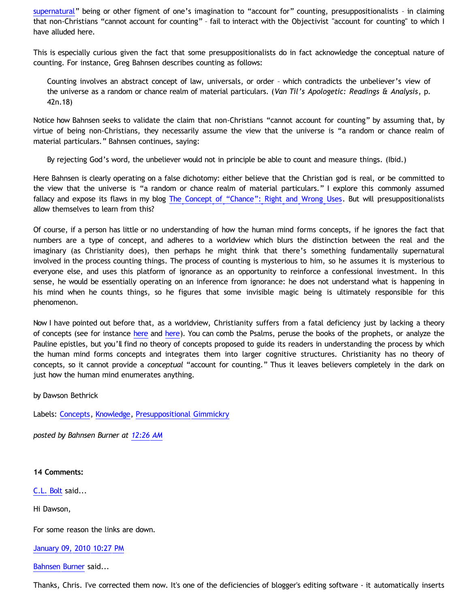[supernatural](http://katholon.com/Bahnsen_Supernatural.htm)" being or other figment of one's imagination to "account for" counting, presuppositionalists – in claiming that non-Christians "cannot account for counting" – fail to interact with the Objectivist "account for counting" to which I have alluded here.

This is especially curious given the fact that some presuppositionalists do in fact acknowledge the conceptual nature of counting. For instance, Greg Bahnsen describes counting as follows:

Counting involves an abstract concept of law, universals, or order – which contradicts the unbeliever's view of the universe as a random or chance realm of material particulars. (*Van Til's Apologetic: Readings & Analysis*, p. 42n.18)

Notice how Bahnsen seeks to validate the claim that non-Christians "cannot account for counting" by assuming that, by virtue of being non-Christians, they necessarily assume the view that the universe is "a random or chance realm of material particulars." Bahnsen continues, saying:

By rejecting God's word, the unbeliever would not in principle be able to count and measure things. (Ibid.)

Here Bahnsen is clearly operating on a false dichotomy: either believe that the Christian god is real, or be committed to the view that the universe is "a random or chance realm of material particulars." I explore this commonly assumed fallacy and expose its flaws in my blog [The Concept of](http://bahnsenburner.blogspot.com/2009/07/concept-of-chance-right-and-wrong-uses.html) ["Chance": Right and Wrong Uses](http://bahnsenburner.blogspot.com/2009/07/concept-of-chance-right-and-wrong-uses.html). But will presuppositionalists allow themselves to learn from this?

Of course, if a person has little or no understanding of how the human mind forms concepts, if he ignores the fact that numbers are a type of concept, and adheres to a worldview which blurs the distinction between the real and the imaginary (as Christianity does), then perhaps he might think that there's something fundamentally supernatural involved in the process counting things. The process of counting is mysterious to him, so he assumes it is mysterious to everyone else, and uses this platform of ignorance as an opportunity to reinforce a confessional investment. In this sense, he would be essentially operating on an inference from ignorance: he does not understand what is happening in his mind when he counts things, so he figures that some invisible magic being is ultimately responsible for this phenomenon.

Now I have pointed out before that, as a worldview, Christianity suffers from a fatal deficiency just by lacking a theory of concepts (see for instance [here](http://bahnsenburner.blogspot.com/2009/07/does-logic-presuppose-christian-god_04.html) and [here\)](http://bahnsenburner.blogspot.com/2009/08/razorskiss-on-christian-god-as-basis-of_20.html). You can comb the Psalms, peruse the books of the prophets, or analyze the Pauline epistles, but you'll find no theory of concepts proposed to guide its readers in understanding the process by which the human mind forms concepts and integrates them into larger cognitive structures. Christianity has no theory of concepts, so it cannot provide a *conceptual* "account for counting." Thus it leaves believers completely in the dark on just how the human mind enumerates anything.

by Dawson Bethrick

Labels: [Concepts,](http://bahnsenburner.blogspot.com/search/label/Concepts) [Knowledge](http://bahnsenburner.blogspot.com/search/label/Knowledge), [Presuppositional Gimmickry](http://bahnsenburner.blogspot.com/search/label/Presuppositional%20Gimmickry)

*posted by Bahnsen Burner at [12:26 AM](http://bahnsenburner.blogspot.com/2010/01/are-non-christians-unable-to-account.html)*

**14 Comments:**

[C.L. Bolt](http://www.blogger.com/profile/15797112064238146744) said...

Hi Dawson,

For some reason the links are down.

[January 09, 2010 10:27 PM](http://bahnsenburner.blogspot.com/2010/01/1842552590006978267)

[Bahnsen Burner](http://www.blogger.com/profile/11030029491768748360) said...

Thanks, Chris. I've corrected them now. It's one of the deficiencies of blogger's editing software - it automatically inserts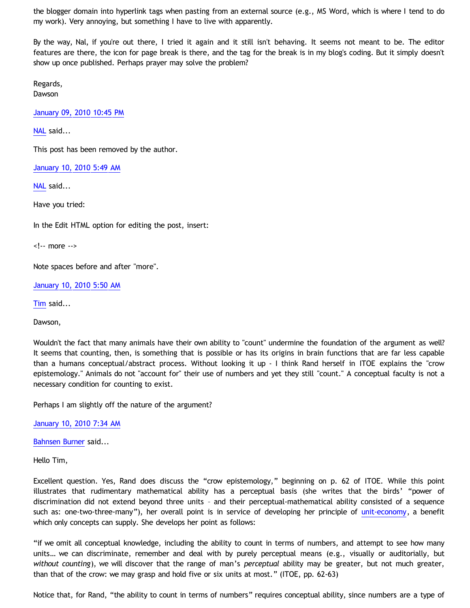the blogger domain into hyperlink tags when pasting from an external source (e.g., MS Word, which is where I tend to do my work). Very annoying, but something I have to live with apparently.

By the way, Nal, if you're out there, I tried it again and it still isn't behaving. It seems not meant to be. The editor features are there, the icon for page break is there, and the tag for the break is in my blog's coding. But it simply doesn't show up once published. Perhaps prayer may solve the problem?

Regards, Dawson

[January 09, 2010 10:45 PM](http://bahnsenburner.blogspot.com/2010/01/3663381969719283973)

[NAL](http://www.blogger.com/profile/12244370945682162312) said...

This post has been removed by the author.

[January 10, 2010 5:49 AM](http://bahnsenburner.blogspot.com/2010/01/4012077912305143350)

[NAL](http://www.blogger.com/profile/12244370945682162312) said...

Have you tried:

In the Edit HTML option for editing the post, insert:

<!-- more -->

Note spaces before and after "more".

[January 10, 2010 5:50 AM](http://bahnsenburner.blogspot.com/2010/01/610231576126406329)

[Tim](http://www.blogger.com/profile/17956849037158609520) said...

Dawson,

Wouldn't the fact that many animals have their own ability to "count" undermine the foundation of the argument as well? It seems that counting, then, is something that is possible or has its origins in brain functions that are far less capable than a humans conceptual/abstract process. Without looking it up - I think Rand herself in ITOE explains the "crow epistemology." Animals do not "account for" their use of numbers and yet they still "count." A conceptual faculty is not a necessary condition for counting to exist.

Perhaps I am slightly off the nature of the argument?

[January 10, 2010 7:34 AM](http://bahnsenburner.blogspot.com/2010/01/7894510361502966746)

[Bahnsen Burner](http://www.blogger.com/profile/11030029491768748360) said...

Hello Tim,

Excellent question. Yes, Rand does discuss the "crow epistemology," beginning on p. 62 of ITOE. While this point illustrates that rudimentary mathematical ability has a perceptual basis (she writes that the birds' "power of discrimination did not extend beyond three units – and their perceptual-mathematical ability consisted of a sequence such as: one-two-three-many"), her overall point is in service of developing her principle of [unit-economy](http://aynrandlexicon.com/lexicon/unit-economy.html), a benefit which only concepts can supply. She develops her point as follows:

"if we omit all conceptual knowledge, including the ability to count in terms of numbers, and attempt to see how many units… we can discriminate, remember and deal with by purely perceptual means (e.g., visually or auditorially, but *without counting*), we will discover that the range of man's *perceptual* ability may be greater, but not much greater, than that of the crow: we may grasp and hold five or six units at most." (ITOE, pp. 62-63)

Notice that, for Rand, "the ability to count in terms of numbers" requires conceptual ability, since numbers are a type of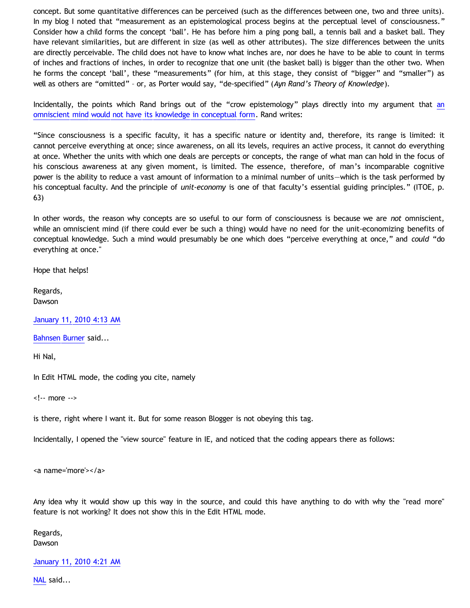concept. But some quantitative differences can be perceived (such as the differences between one, two and three units). In my blog I noted that "measurement as an epistemological process begins at the perceptual level of consciousness." Consider how a child forms the concept 'ball'. He has before him a ping pong ball, a tennis ball and a basket ball. They have relevant similarities, but are different in size (as well as other attributes). The size differences between the units are directly perceivable. The child does not have to know what inches are, nor does he have to be able to count in terms of inches and fractions of inches, in order to recognize that one unit (the basket ball) is bigger than the other two. When he forms the concept 'ball', these "measurements" (for him, at this stage, they consist of "bigger" and "smaller") as well as others are "omitted" – or, as Porter would say, "de-specified" (*Ayn Rand's Theory of Knowledge*).

Incidentally, the points which R[an](http://bahnsenburner.blogspot.com/2007/04/would-omniscient-mind-have-knowledge-in.html)d brings out of the "crow epistemology" plays directly into my argument that an [omniscient mind would not have its knowledge in conceptual form](http://bahnsenburner.blogspot.com/2007/04/would-omniscient-mind-have-knowledge-in.html). Rand writes:

"Since consciousness is a specific faculty, it has a specific nature or identity and, therefore, its range is limited: it cannot perceive everything at once; since awareness, on all its levels, requires an active process, it cannot do everything at once. Whether the units with which one deals are percepts or concepts, the range of what man can hold in the focus of his conscious awareness at any given moment, is limited. The essence, therefore, of man's incomparable cognitive power is the ability to reduce a vast amount of information to a minimal number of units—which is the task performed by his conceptual faculty. And the principle of *unit-economy* is one of that faculty's essential guiding principles." (ITOE, p. 63)

In other words, the reason why concepts are so useful to our form of consciousness is because we are *not* omniscient, while an omniscient mind (if there could ever be such a thing) would have no need for the unit-economizing benefits of conceptual knowledge. Such a mind would presumably be one which does "perceive everything at once," and *could* "do everything at once."

Hope that helps!

Regards, Dawson

[January 11, 2010 4:13 AM](http://bahnsenburner.blogspot.com/2010/01/6713070875695710168)

[Bahnsen Burner](http://www.blogger.com/profile/11030029491768748360) said...

Hi Nal,

In Edit HTML mode, the coding you cite, namely

<!-- more -->

is there, right where I want it. But for some reason Blogger is not obeying this tag.

Incidentally, I opened the "view source" feature in IE, and noticed that the coding appears there as follows:

<a name='more'></a>

Any idea why it would show up this way in the source, and could this have anything to do with why the "read more" feature is not working? It does not show this in the Edit HTML mode.

Regards, Dawson

[January 11, 2010 4:21 AM](http://bahnsenburner.blogspot.com/2010/01/3224129880502570132)

[NAL](http://www.blogger.com/profile/12244370945682162312) said...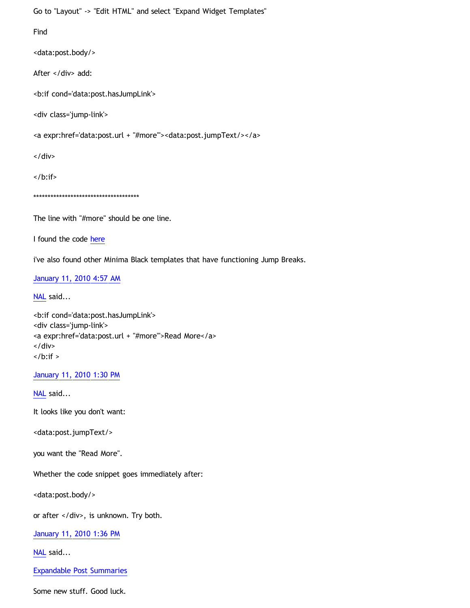Go to "Layout" -> "Edit HTML" and select "Expand Widget Templates"

Find

<data:post.body/>

After </div> add:

<b:if cond='data:post.hasJumpLink'>

<div class='jump-link'>

<a expr:href='data:post.url + "#more"'><data:post.jumpText/></a>

</div>

 $\langle$ b:if>

\*\*\*\*\*\*\*\*\*\*\*\*\*\*\*\*\*\*\*\*\*\*\*\*\*\*\*\*\*\*\*\*\*\*\*\*\*

The line with "#more" should be one line.

I found the code [here](http://forums.htmlhelp.com/index.php?showtopic=9746%22)

i've also found other Minima Black templates that have functioning Jump Breaks.

[January 11, 2010 4:57 AM](http://bahnsenburner.blogspot.com/2010/01/8344402182749606273)

[NAL](http://www.blogger.com/profile/12244370945682162312) said...

<b:if cond='data:post.hasJumpLink'> <div class='jump-link'> <a expr:href='data:post.url + "#more"'>Read More</a> </div>  $\langle$ b:if  $>$ 

[January 11, 2010 1:30 PM](http://bahnsenburner.blogspot.com/2010/01/4125778930878209675)

[NAL](http://www.blogger.com/profile/12244370945682162312) said...

It looks like you don't want:

<data:post.jumpText/>

you want the "Read More".

Whether the code snippet goes immediately after:

<data:post.body/>

or after </div>, is unknown. Try both.

[January 11, 2010 1:36 PM](http://bahnsenburner.blogspot.com/2010/01/800529455126494348)

[NAL](http://www.blogger.com/profile/12244370945682162312) said...

[Expandable Post Summaries](http://www.blogdoctor.me/2007/02/expandable-post-summaries.html)

Some new stuff. Good luck.